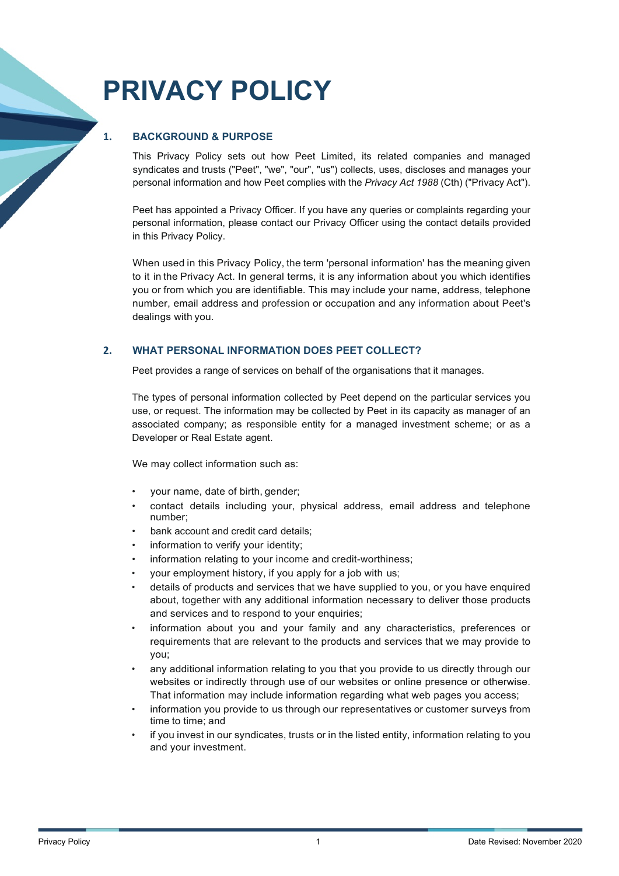# **PRIVACY POLICY**

# **1. BACKGROUND & PURPOSE**

This Privacy Policy sets out how Peet Limited, its related companies and managed syndicates and trusts ("Peet", "we", "our", "us") collects, uses, discloses and manages your personal information and how Peet complies with the *Privacy Act 1988* (Cth) ("Privacy Act").

Peet has appointed a Privacy Officer. If you have any queries or complaints regarding your personal information, please contact our Privacy Officer using the contact details provided in this Privacy Policy.

When used in this Privacy Policy, the term 'personal information' has the meaning given to it in the Privacy Act. In general terms, it is any information about you which identifies you or from which you are identifiable. This may include your name, address, telephone number, email address and profession or occupation and any information about Peet's dealings with you.

## **2. WHAT PERSONAL INFORMATION DOES PEET COLLECT?**

Peet provides a range of services on behalf of the organisations that it manages.

The types of personal information collected by Peet depend on the particular services you use, or request. The information may be collected by Peet in its capacity as manager of an associated company; as responsible entity for a managed investment scheme; or as a Developer or Real Estate agent.

We may collect information such as:

- your name, date of birth, gender;
- contact details including your, physical address, email address and telephone number;
- bank account and credit card details;
- information to verify your identity;
- information relating to your income and credit-worthiness;
- your employment history, if you apply for a job with us;
- details of products and services that we have supplied to you, or you have enquired about, together with any additional information necessary to deliver those products and services and to respond to your enquiries;
- information about you and your family and any characteristics, preferences or requirements that are relevant to the products and services that we may provide to you;
- any additional information relating to you that you provide to us directly through our websites or indirectly through use of our websites or online presence or otherwise. That information may include information regarding what web pages you access;
- information you provide to us through our representatives or customer surveys from time to time; and
- if you invest in our syndicates, trusts or in the listed entity, information relating to you and your investment.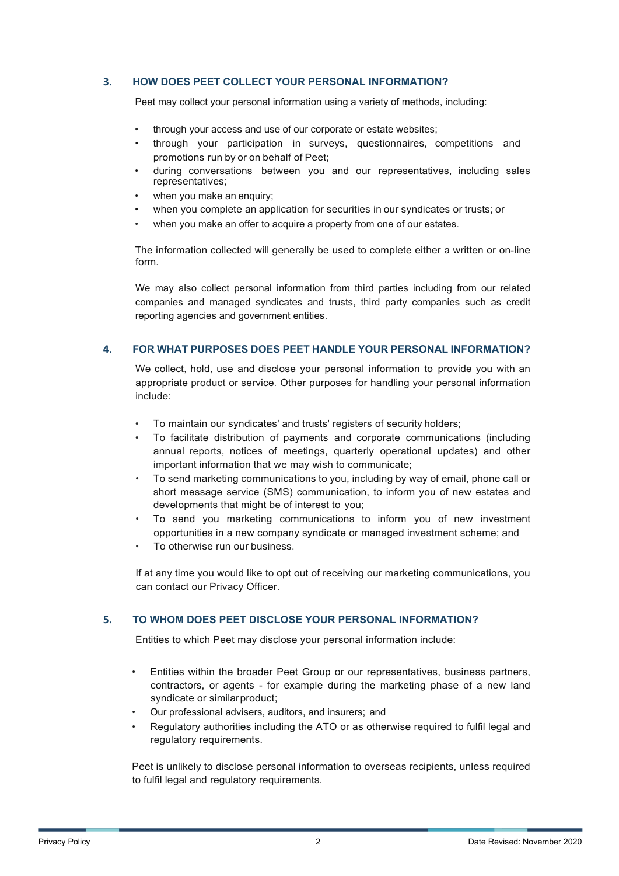#### **3. HOW DOES PEET COLLECT YOUR PERSONAL INFORMATION?**

Peet may collect your personal information using a variety of methods, including:

- through your access and use of our corporate or estate websites;
- through your participation in surveys, questionnaires, competitions and promotions run by or on behalf of Peet;
- during conversations between you and our representatives, including sales representatives;
- when you make an enquiry:
- when you complete an application for securities in our syndicates or trusts; or
- when you make an offer to acquire a property from one of our estates.

The information collected will generally be used to complete either a written or on-line form.

We may also collect personal information from third parties including from our related companies and managed syndicates and trusts, third party companies such as credit reporting agencies and government entities.

#### **4. FOR WHAT PURPOSES DOES PEET HANDLE YOUR PERSONAL INFORMATION?**

We collect, hold, use and disclose your personal information to provide you with an appropriate product or service. Other purposes for handling your personal information include:

- To maintain our syndicates' and trusts' registers of security holders;
- To facilitate distribution of payments and corporate communications (including annual reports, notices of meetings, quarterly operational updates) and other important information that we may wish to communicate;
- To send marketing communications to you, including by way of email, phone call or short message service (SMS) communication, to inform you of new estates and developments that might be of interest to you;
- To send you marketing communications to inform you of new investment opportunities in a new company syndicate or managed investment scheme; and
- To otherwise run our business.

If at any time you would like to opt out of receiving our marketing communications, you can contact our Privacy Officer.

# **5. TO WHOM DOES PEET DISCLOSE YOUR PERSONAL INFORMATION?**

Entities to which Peet may disclose your personal information include:

- Entities within the broader Peet Group or our representatives, business partners, contractors, or agents - for example during the marketing phase of a new land syndicate or similarproduct;
- Our professional advisers, auditors, and insurers; and
- Regulatory authorities including the ATO or as otherwise required to fulfil legal and regulatory requirements.

Peet is unlikely to disclose personal information to overseas recipients, unless required to fulfil legal and regulatory requirements.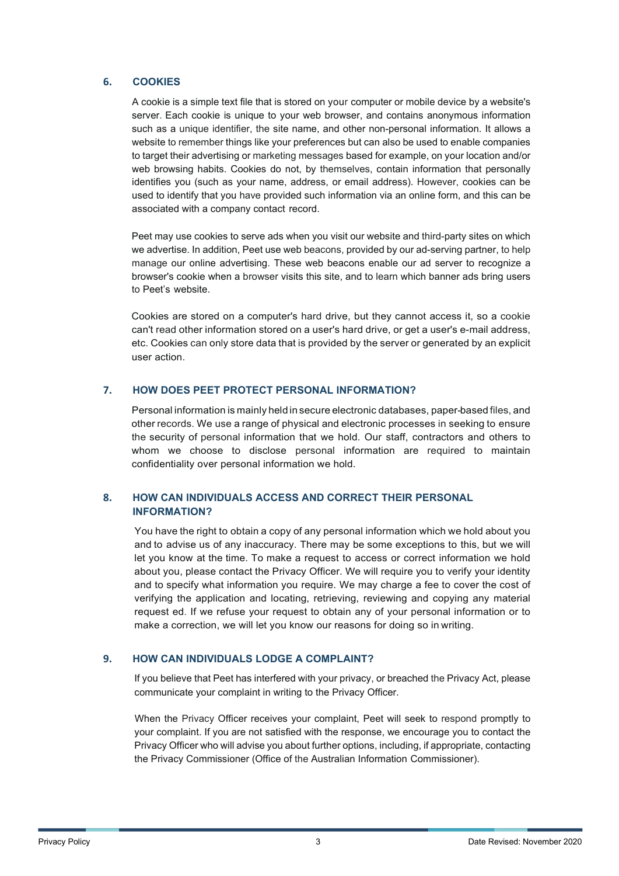#### **6. COOKIES**

A cookie is a simple text file that is stored on your computer or mobile device by a website's server. Each cookie is unique to your web browser, and contains anonymous information such as a unique identifier, the site name, and other non-personal information. It allows a website to remember things like your preferences but can also be used to enable companies to target their advertising or marketing messages based for example, on your location and/or web browsing habits. Cookies do not, by themselves, contain information that personally identifies you (such as your name, address, or email address). However, cookies can be used to identify that you have provided such information via an online form, and this can be associated with a company contact record.

Peet may use cookies to serve ads when you visit our website and third-party sites on which we advertise. In addition, Peet use web beacons, provided by our ad-serving partner, to help manage our online advertising. These web beacons enable our ad server to recognize a browser's cookie when a browser visits this site, and to learn which banner ads bring users to Peet's website.

Cookies are stored on a computer's hard drive, but they cannot access it, so a cookie can't read other information stored on a user's hard drive, or get a user's e-mail address, etc. Cookies can only store data that is provided by the server or generated by an explicit user action.

## **7. HOW DOES PEET PROTECT PERSONAL INFORMATION?**

Personal information is mainly held in secure electronic databases, paper-based files, and other records. We use a range of physical and electronic processes in seeking to ensure the security of personal information that we hold. Our staff, contractors and others to whom we choose to disclose personal information are required to maintain confidentiality over personal information we hold.

## **8. HOW CAN INDIVIDUALS ACCESS AND CORRECT THEIR PERSONAL INFORMATION?**

You have the right to obtain a copy of any personal information which we hold about you and to advise us of any inaccuracy. There may be some exceptions to this, but we will let you know at the time. To make a request to access or correct information we hold about you, please contact the Privacy Officer. We will require you to verify your identity and to specify what information you require. We may charge a fee to cover the cost of verifying the application and locating, retrieving, reviewing and copying any material request ed. If we refuse your request to obtain any of your personal information or to make a correction, we will let you know our reasons for doing so in writing.

# **9. HOW CAN INDIVIDUALS LODGE A COMPLAINT?**

If you believe that Peet has interfered with your privacy, or breached the Privacy Act, please communicate your complaint in writing to the Privacy Officer.

When the Privacy Officer receives your complaint, Peet will seek to respond promptly to your complaint. If you are not satisfied with the response, we encourage you to contact the Privacy Officer who will advise you about further options, including, if appropriate, contacting the Privacy Commissioner (Office of the Australian Information Commissioner).